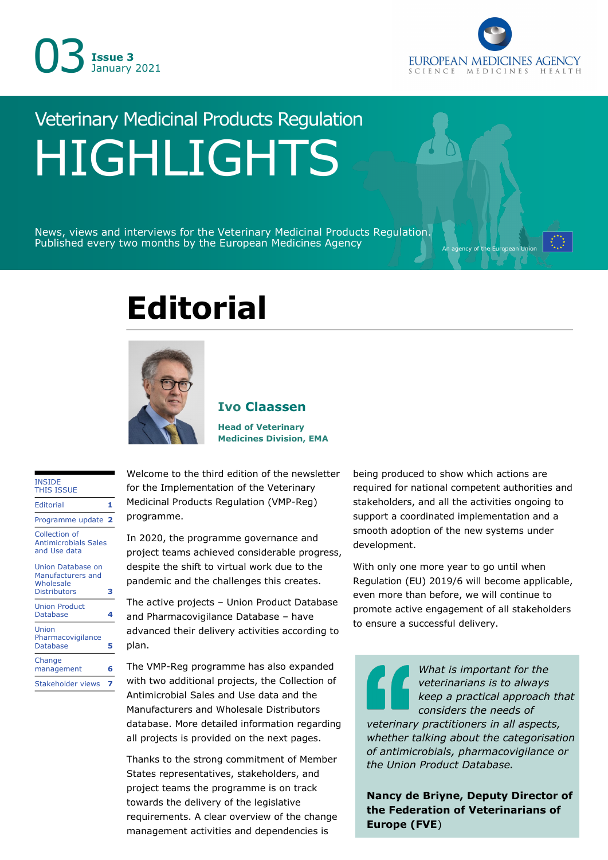



# Veterinary Medicinal Products Regulation HIGHLIGHTS

News, views and interviews for the Veterinary Medicinal Products Regulation. Published every two months by the European Medicines Agency

## **Editorial**



## **Ivo Claassen**

**Head of Veterinary Medicines Division, EMA**

#### INSIDE THIS ISSUE

| <b>Editorial</b>                                                           |    |
|----------------------------------------------------------------------------|----|
| Programme update                                                           | -2 |
| Collection of<br><b>Antimicrobials Sales</b><br>and Use data               |    |
| Union Database on<br>Manufacturers and<br>Wholesale<br><b>Distributors</b> | з  |
| <b>Union Product</b><br>Database                                           |    |
| Union<br>Pharmacovigilance<br>Database                                     | 5  |
| Change<br>management                                                       | б  |
| Stakeholder views                                                          |    |

Welcome to the third edition of the newsletter for the Implementation of the Veterinary Medicinal Products Regulation (VMP-Reg) programme.

In 2020, the programme governance and project teams achieved considerable progress, despite the shift to virtual work due to the pandemic and the challenges this creates.

The active projects – Union Product Database and Pharmacovigilance Database – have advanced their delivery activities according to plan.

The VMP-Reg programme has also expanded with two additional projects, the Collection of Antimicrobial Sales and Use data and the Manufacturers and Wholesale Distributors database. More detailed information regarding all projects is provided on the next pages.

Thanks to the strong commitment of Member States representatives, stakeholders, and project teams the programme is on track towards the delivery of the legislative requirements. A clear overview of the change management activities and dependencies is

being produced to show which actions are required for national competent authorities and stakeholders, and all the activities ongoing to support a coordinated implementation and a smooth adoption of the new systems under development.

With only one more year to go until when Regulation (EU) 2019/6 will become applicable, even more than before, we will continue to promote active engagement of all stakeholders to ensure a successful delivery.

*What is important for the veterinarians is to always keep a practical approach that considers the needs of veterinary practitioners in all aspects, whether talking about the categorisation of antimicrobials, pharmacovigilance or the Union Product Database.*

**Nancy de Briyne, Deputy Director of the Federation of Veterinarians of Europe (FVE**)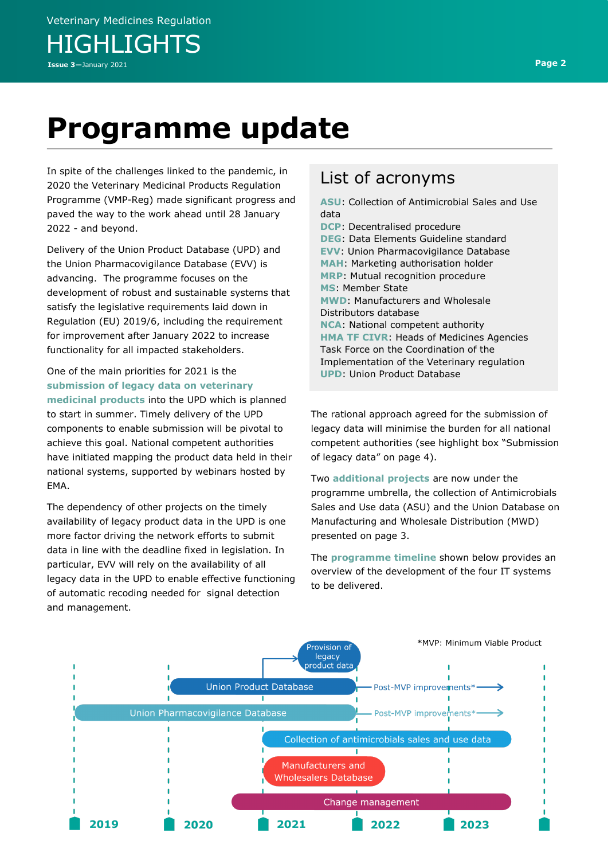## **Programme update**

In spite of the challenges linked to the pandemic, in 2020 the Veterinary Medicinal Products Regulation Programme (VMP-Reg) made significant progress and paved the way to the work ahead until 28 January 2022 - and beyond.

Delivery of the Union Product Database (UPD) and the Union Pharmacovigilance Database (EVV) is advancing. The programme focuses on the development of robust and sustainable systems that satisfy the legislative requirements laid down in Regulation (EU) 2019/6, including the requirement for improvement after January 2022 to increase functionality for all impacted stakeholders.

One of the main priorities for 2021 is the **submission of legacy data on veterinary medicinal products** into the UPD which is planned to start in summer. Timely delivery of the UPD components to enable submission will be pivotal to achieve this goal. National competent authorities have initiated mapping the product data held in their national systems, supported by webinars hosted by EMA.

The dependency of other projects on the timely availability of legacy product data in the UPD is one more factor driving the network efforts to submit data in line with the deadline fixed in legislation. In particular, EVV will rely on the availability of all legacy data in the UPD to enable effective functioning of automatic recoding needed for signal detection and management.

## List of acronyms

**ASU**: Collection of Antimicrobial Sales and Use data

**DCP**: Decentralised procedure **DEG**: Data Elements Guideline standard **EVV**: Union Pharmacovigilance Database **MAH**: Marketing authorisation holder **MRP**: Mutual recognition procedure **MS**: Member State **MWD**: Manufacturers and Wholesale Distributors database **NCA**: National competent authority **HMA TF CIVR**: Heads of Medicines Agencies Task Force on the Coordination of the Implementation of the Veterinary regulation **UPD**: Union Product Database

The rational approach agreed for the submission of legacy data will minimise the burden for all national competent authorities (see highlight box "Submission of legacy data" on page 4).

Two **additional projects** are now under the programme umbrella, the collection of Antimicrobials Sales and Use data (ASU) and the Union Database on Manufacturing and Wholesale Distribution (MWD) presented on page 3.

The **programme timeline** shown below provides an overview of the development of the four IT systems to be delivered.

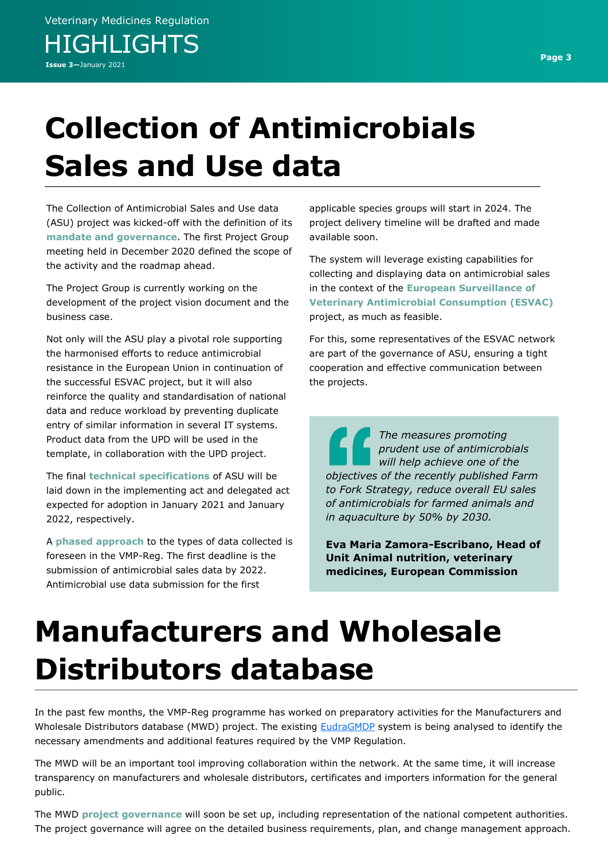# **Collection of Antimicrobials Sales and Use data**

The Collection of Antimicrobial Sales and Use data (ASU) project was kicked-off with the definition of its **mandate and governance**. The first Project Group meeting held in December 2020 defined the scope of the activity and the roadmap ahead.

The Project Group is currently working on the development of the project vision document and the business case.

Not only will the ASU play a pivotal role supporting the harmonised efforts to reduce antimicrobial resistance in the European Union in continuation of the successful ESVAC project, but it will also reinforce the quality and standardisation of national data and reduce workload by preventing duplicate entry of similar information in several IT systems. Product data from the UPD will be used in the template, in collaboration with the UPD project.

The final **technical specifications** of ASU will be laid down in the implementing act and delegated act expected for adoption in January 2021 and January 2022, respectively.

A **phased approach** to the types of data collected is foreseen in the VMP-Reg. The first deadline is the submission of antimicrobial sales data by 2022. Antimicrobial use data submission for the first

applicable species groups will start in 2024. The project delivery timeline will be drafted and made available soon.

The system will leverage existing capabilities for collecting and displaying data on antimicrobial sales in the context of the **European Surveillance of Veterinary Antimicrobial Consumption (ESVAC)**  project, as much as feasible.

For this, some representatives of the ESVAC network are part of the governance of ASU, ensuring a tight cooperation and effective communication between the projects.

*The measures promoting prudent use of antimicrobials will help achieve one of the objectives of the recently published Farm to Fork Strategy, reduce overall EU sales of antimicrobials for farmed animals and in aquaculture by 50% by 2030.* 

**Eva Maria Zamora-Escribano, Head of Unit Animal nutrition, veterinary medicines, European Commission**

# **Manufacturers and Wholesale Distributors database**

In the past few months, the VMP-Reg programme has worked on preparatory activities for the Manufacturers and Wholesale Distributors database (MWD) project. The existing **[EudraGMDP](http://eudragmdp.ema.europa.eu/)** system is being analysed to identify the necessary amendments and additional features required by the VMP Regulation.

The MWD will be an important tool improving collaboration within the network. At the same time, it will increase transparency on manufacturers and wholesale distributors, certificates and importers information for the general public.

The MWD **project governance** will soon be set up, including representation of the national competent authorities. The project governance will agree on the detailed business requirements, plan, and change management approach.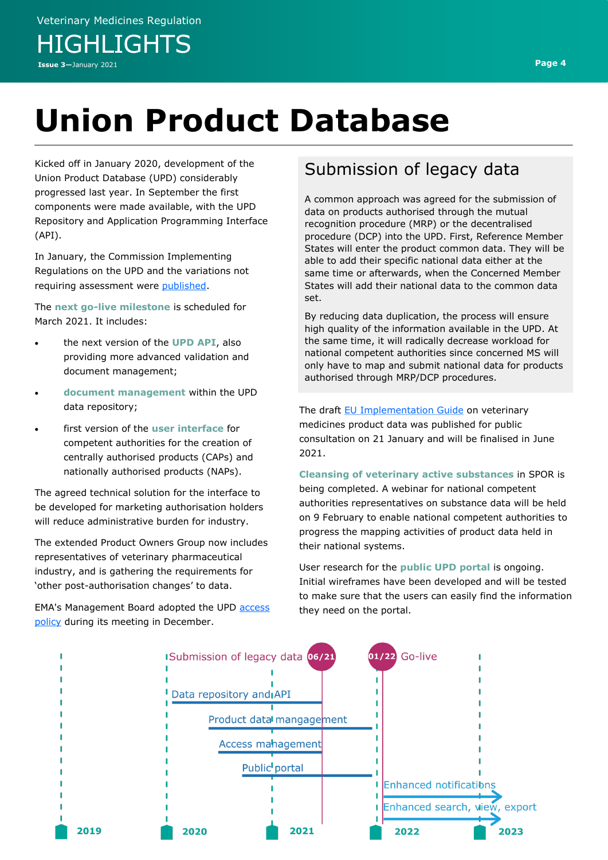Kicked off in January 2020, development of the Union Product Database (UPD) considerably progressed last year. In September the first components were made available, with the UPD Repository and Application Programming Interface (API).

In January, the Commission Implementing Regulations on the UPD and the variations not requiring assessment were [published.](https://eur-lex.europa.eu/legal-content/EN/TXT/?uri=OJ:L:2021:007:TOC)

The **next go-live milestone** is scheduled for March 2021. It includes:

- the next version of the **UPD API**, also providing more advanced validation and document management;
- **document management** within the UPD data repository;
- first version of the **user interface** for competent authorities for the creation of centrally authorised products (CAPs) and nationally authorised products (NAPs).

The agreed technical solution for the interface to be developed for marketing authorisation holders will reduce administrative burden for industry.

The extended Product Owners Group now includes representatives of veterinary pharmaceutical industry, and is gathering the requirements for 'other post-authorisation changes' to data.

EMA's Management Board adopted the UPD [access](https://www.ema.europa.eu/en/documents/regulatory-procedural-guideline/union-product-database-upd-access-policy-veterinary-medicinal-products-policy-no-0082_en-0.pdf)  [policy](https://www.ema.europa.eu/en/documents/regulatory-procedural-guideline/union-product-database-upd-access-policy-veterinary-medicinal-products-policy-no-0082_en-0.pdf) during its meeting in December.

## Submission of legacy data

A common approach was agreed for the submission of data on products authorised through the mutual recognition procedure (MRP) or the decentralised procedure (DCP) into the UPD. First, Reference Member States will enter the product common data. They will be able to add their specific national data either at the same time or afterwards, when the Concerned Member States will add their national data to the common data set.

By reducing data duplication, the process will ensure high quality of the information available in the UPD. At the same time, it will radically decrease workload for national competent authorities since concerned MS will only have to map and submit national data for products authorised through MRP/DCP procedures.

The draft [EU Implementation Guide](https://www.ema.europa.eu/en/veterinary-regulatory/overview/implementation-new-veterinary-medicines-regulation#implementing-the-union-product-database-(new)-section) on veterinary medicines product data was published for public consultation on 21 January and will be finalised in June 2021.

**Cleansing of veterinary active substances** in SPOR is being completed. A webinar for national competent authorities representatives on substance data will be held on 9 February to enable national competent authorities to progress the mapping activities of product data held in their national systems.

User research for the **public UPD portal** is ongoing. Initial wireframes have been developed and will be tested to make sure that the users can easily find the information they need on the portal.

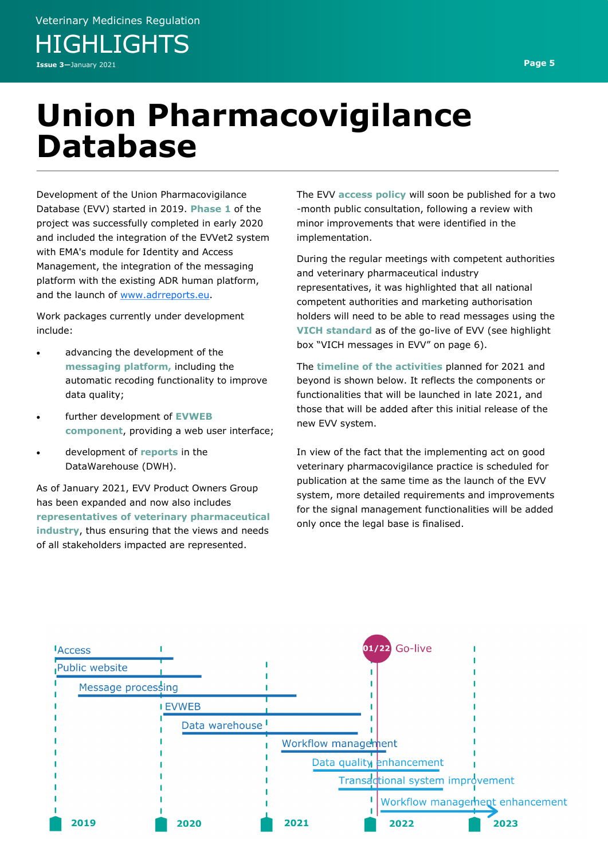Veterinary Medicines Regulation **HIGHLIGHTS** 

**Issue 3—**January 2021 **Page 5**

## **Union Pharmacovigilance Database**

Development of the Union Pharmacovigilance Database (EVV) started in 2019. **Phase 1** of the project was successfully completed in early 2020 and included the integration of the EVVet2 system with EMA's module for Identity and Access Management, the integration of the messaging platform with the existing ADR human platform, and the launch of [www.adrreports.eu.](http://www.adrreports.eu/)

Work packages currently under development include:

- advancing the development of the **messaging platform,** including the automatic recoding functionality to improve data quality;
- further development of **EVWEB component**, providing a web user interface;
- development of **reports** in the DataWarehouse (DWH).

As of January 2021, EVV Product Owners Group has been expanded and now also includes **representatives of veterinary pharmaceutical industry**, thus ensuring that the views and needs of all stakeholders impacted are represented.

The EVV **access policy** will soon be published for a two -month public consultation, following a review with minor improvements that were identified in the implementation.

During the regular meetings with competent authorities and veterinary pharmaceutical industry representatives, it was highlighted that all national competent authorities and marketing authorisation holders will need to be able to read messages using the **VICH standard** as of the go-live of EVV (see highlight box "VICH messages in EVV" on page 6).

The **timeline of the activities** planned for 2021 and beyond is shown below. It reflects the components or functionalities that will be launched in late 2021, and those that will be added after this initial release of the new EVV system.

In view of the fact that the implementing act on good veterinary pharmacovigilance practice is scheduled for publication at the same time as the launch of the EVV system, more detailed requirements and improvements for the signal management functionalities will be added only once the legal base is finalised.

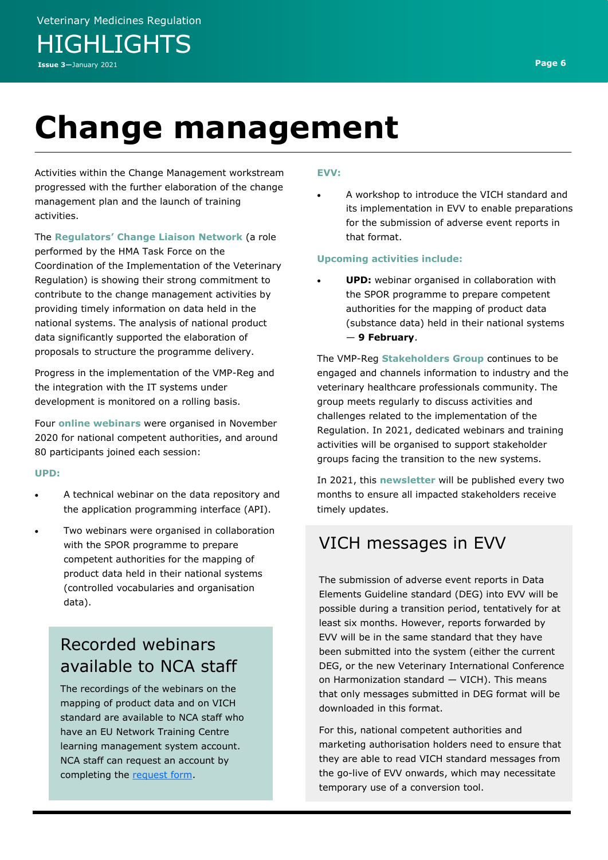# **Change management**

Activities within the Change Management workstream progressed with the further elaboration of the change management plan and the launch of training activities.

The **Regulators' Change Liaison Network** (a role performed by the HMA Task Force on the Coordination of the Implementation of the Veterinary Regulation) is showing their strong commitment to contribute to the change management activities by providing timely information on data held in the national systems. The analysis of national product data significantly supported the elaboration of proposals to structure the programme delivery.

Progress in the implementation of the VMP-Reg and the integration with the IT systems under development is monitored on a rolling basis.

Four **online webinars** were organised in November 2020 for national competent authorities, and around 80 participants joined each session:

#### **UPD:**

- A technical webinar on the data repository and the application programming interface (API).
- Two webinars were organised in collaboration with the SPOR programme to prepare competent authorities for the mapping of product data held in their national systems (controlled vocabularies and organisation data).

## Recorded webinars available to NCA staff

The recordings of the webinars on the mapping of product data and on VICH standard are available to NCA staff who have an EU Network Training Centre learning management system account. NCA staff can request an account by completing the [request form.](https://europeanm.plateau.com/learning/user/selfRegisterInit.do?OWASP_CSRFTOKEN=WLUX-EQ8M-LG7X-0B4D-2BMA-GLYP-J6RQ-09WM)

### **EVV:**

• A workshop to introduce the VICH standard and its implementation in EVV to enable preparations for the submission of adverse event reports in that format.

### **Upcoming activities include:**

**UPD:** webinar organised in collaboration with the SPOR programme to prepare competent authorities for the mapping of product data (substance data) held in their national systems — **9 February**.

The VMP-Reg **Stakeholders Group** continues to be engaged and channels information to industry and the veterinary healthcare professionals community. The group meets regularly to discuss activities and challenges related to the implementation of the Regulation. In 2021, dedicated webinars and training activities will be organised to support stakeholder groups facing the transition to the new systems.

In 2021, this **newsletter** will be published every two months to ensure all impacted stakeholders receive timely updates.

## VICH messages in EVV

The submission of adverse event reports in Data Elements Guideline standard (DEG) into EVV will be possible during a transition period, tentatively for at least six months. However, reports forwarded by EVV will be in the same standard that they have been submitted into the system (either the current DEG, or the new Veterinary International Conference on Harmonization standard — VICH). This means that only messages submitted in DEG format will be downloaded in this format.

For this, national competent authorities and marketing authorisation holders need to ensure that they are able to read VICH standard messages from the go-live of EVV onwards, which may necessitate temporary use of a conversion tool.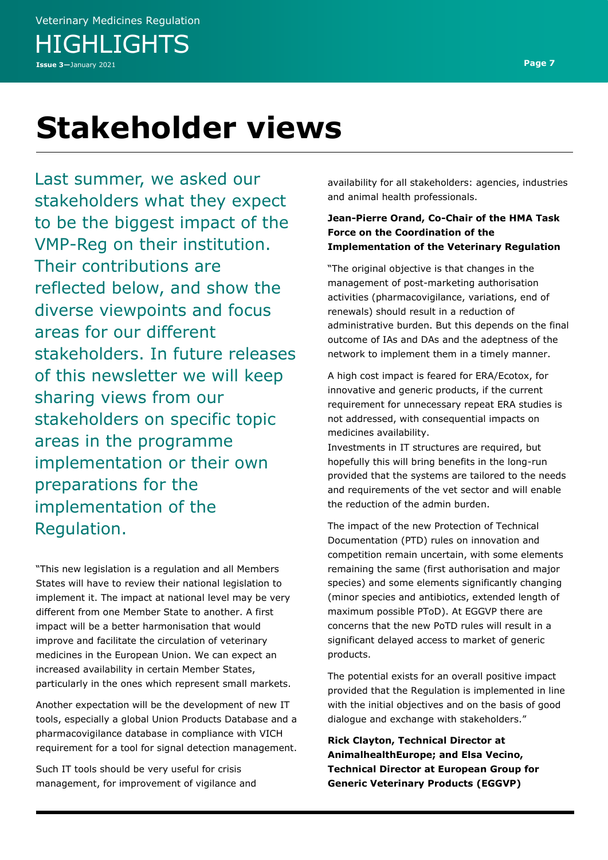## **Stakeholder views**

Last summer, we asked our stakeholders what they expect to be the biggest impact of the VMP-Reg on their institution. Their contributions are reflected below, and show the diverse viewpoints and focus areas for our different stakeholders. In future releases of this newsletter we will keep sharing views from our stakeholders on specific topic areas in the programme implementation or their own preparations for the implementation of the Regulation.

"This new legislation is a regulation and all Members States will have to review their national legislation to implement it. The impact at national level may be very different from one Member State to another. A first impact will be a better harmonisation that would improve and facilitate the circulation of veterinary medicines in the European Union. We can expect an increased availability in certain Member States, particularly in the ones which represent small markets.

Another expectation will be the development of new IT tools, especially a global Union Products Database and a pharmacovigilance database in compliance with VICH requirement for a tool for signal detection management.

Such IT tools should be very useful for crisis management, for improvement of vigilance and availability for all stakeholders: agencies, industries and animal health professionals.

### **Jean-Pierre Orand, Co-Chair of the HMA Task Force on the Coordination of the Implementation of the Veterinary Regulation**

"The original objective is that changes in the management of post-marketing authorisation activities (pharmacovigilance, variations, end of renewals) should result in a reduction of administrative burden. But this depends on the final outcome of IAs and DAs and the adeptness of the network to implement them in a timely manner.

A high cost impact is feared for ERA/Ecotox, for innovative and generic products, if the current requirement for unnecessary repeat ERA studies is not addressed, with consequential impacts on medicines availability.

Investments in IT structures are required, but hopefully this will bring benefits in the long-run provided that the systems are tailored to the needs and requirements of the vet sector and will enable the reduction of the admin burden.

The impact of the new Protection of Technical Documentation (PTD) rules on innovation and competition remain uncertain, with some elements remaining the same (first authorisation and major species) and some elements significantly changing (minor species and antibiotics, extended length of maximum possible PToD). At EGGVP there are concerns that the new PoTD rules will result in a significant delayed access to market of generic products.

The potential exists for an overall positive impact provided that the Regulation is implemented in line with the initial objectives and on the basis of good dialogue and exchange with stakeholders."

**Rick Clayton, Technical Director at AnimalhealthEurope; and Elsa Vecino, Technical Director at European Group for Generic Veterinary Products (EGGVP)**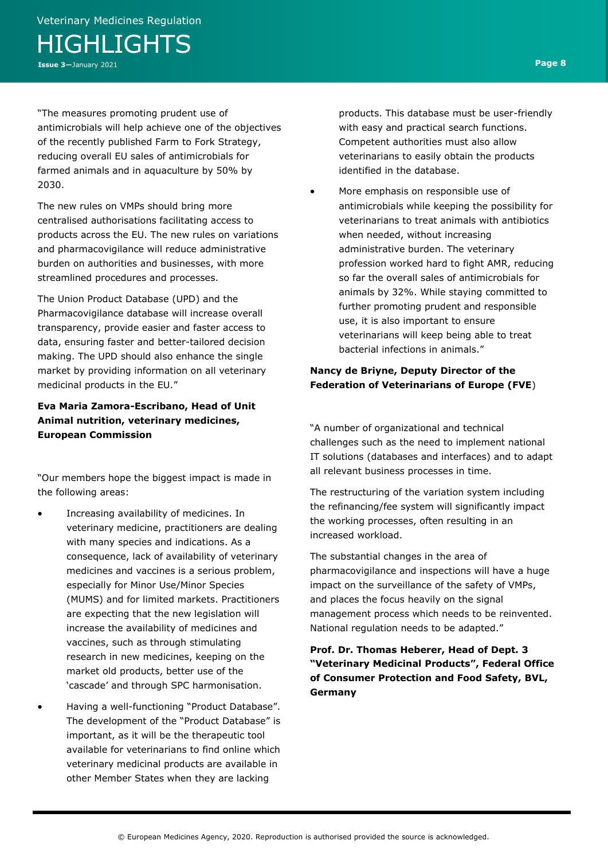"The measures promoting prudent use of antimicrobials will help achieve one of the objectives of the recently published Farm to Fork Strategy, reducing overall EU sales of antimicrobials for farmed animals and in aquaculture by 50% by 2030.

The new rules on VMPs should bring more centralised authorisations facilitating access to products across the EU. The new rules on variations and pharmacovigilance will reduce administrative burden on authorities and businesses, with more streamlined procedures and processes.

The Union Product Database (UPD) and the Pharmacovigilance database will increase overall transparency, provide easier and faster access to data, ensuring faster and better-tailored decision making. The UPD should also enhance the single market by providing information on all veterinary medicinal products in the EU."

## **Eva Maria Zamora-Escribano, Head of Unit Animal nutrition, veterinary medicines, European Commission**

"Our members hope the biggest impact is made in the following areas:

- Increasing availability of medicines. In veterinary medicine, practitioners are dealing with many species and indications. As a consequence, lack of availability of veterinary medicines and vaccines is a serious problem, especially for Minor Use/Minor Species (MUMS) and for limited markets. Practitioners are expecting that the new legislation will increase the availability of medicines and vaccines, such as through stimulating research in new medicines, keeping on the market old products, better use of the 'cascade' and through SPC harmonisation.
- Having a well-functioning "Product Database". The development of the "Product Database" is important, as it will be the therapeutic tool available for veterinarians to find online which veterinary medicinal products are available in other Member States when they are lacking

products. This database must be user-friendly with easy and practical search functions. Competent authorities must also allow veterinarians to easily obtain the products identified in the database.

• More emphasis on responsible use of antimicrobials while keeping the possibility for veterinarians to treat animals with antibiotics when needed, without increasing administrative burden. The veterinary profession worked hard to fight AMR, reducing so far the overall sales of antimicrobials for animals by 32%. While staying committed to further promoting prudent and responsible use, it is also important to ensure veterinarians will keep being able to treat bacterial infections in animals."

### **Nancy de Briyne, Deputy Director of the Federation of Veterinarians of Europe (FVE**)

"A number of organizational and technical challenges such as the need to implement national IT solutions (databases and interfaces) and to adapt all relevant business processes in time.

The restructuring of the variation system including the refinancing/fee system will significantly impact the working processes, often resulting in an increased workload.

The substantial changes in the area of pharmacovigilance and inspections will have a huge impact on the surveillance of the safety of VMPs, and places the focus heavily on the signal management process which needs to be reinvented. National regulation needs to be adapted."

**Prof. Dr. Thomas Heberer, Head of Dept. 3 "Veterinary Medicinal Products", Federal Office of Consumer Protection and Food Safety, BVL, Germany**